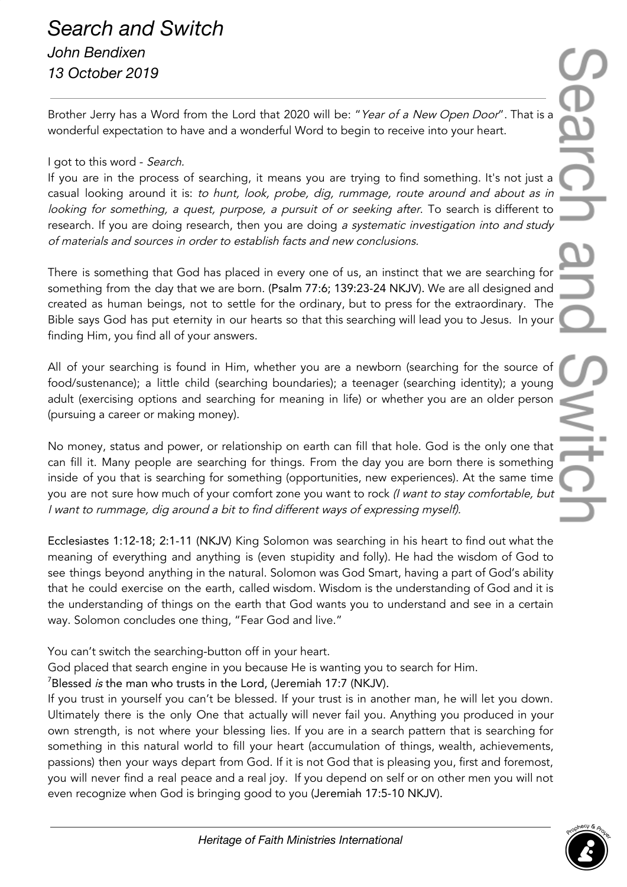## *Search and Switch John Bendixen 13 October 2019*

Brother Jerry has a Word from the Lord that 2020 will be: "Year of a New Open Door". That is a wonderful expectation to have and a wonderful Word to begin to receive into your heart.

## I got to this word - Search.

If you are in the process of searching, it means you are trying to find something. It's not just a casual looking around it is: to hunt, look, probe, dig, rummage, route around and about as in looking for something, a quest, purpose, a pursuit of or seeking after. To search is different to research. If you are doing research, then you are doing a systematic investigation into and study of materials and sources in order to establish facts and new conclusions.

There is something that God has placed in every one of us, an instinct that we are searching for something from the day that we are born. (Psalm 77:6; 139:23-24 NKJV). We are all designed and created as human beings, not to settle for the ordinary, but to press for the extraordinary. The Bible says God has put eternity in our hearts so that this searching will lead you to Jesus. In your finding Him, you find all of your answers.

All of your searching is found in Him, whether you are a newborn (searching for the source of food/sustenance); a little child (searching boundaries); a teenager (searching identity); a young adult (exercising options and searching for meaning in life) or whether you are an older person (pursuing a career or making money).

No money, status and power, or relationship on earth can fill that hole. God is the only one that can fill it. Many people are searching for things. From the day you are born there is something inside of you that is searching for something (opportunities, new experiences). At the same time you are not sure how much of your comfort zone you want to rock (I want to stay comfortable, but <sup>I</sup> want to rummage, dig around <sup>a</sup> bit to find different ways of expressing myself).

Ecclesiastes 1:12-18; 2:1-11 (NKJV) King Solomon was searching in his heart to find out what the meaning of everything and anything is (even stupidity and folly). He had the wisdom of God to see things beyond anything in the natural. Solomon was God Smart, having a part of God's ability that he could exercise on the earth, called wisdom. Wisdom is the understanding of God and it is the understanding of things on the earth that God wants you to understand and see in a certain way. Solomon concludes one thing, "Fear God and live."

You can't switch the searching-button off in your heart.

God placed that search engine in you because He is wanting you to search for Him.

 $7B$ lessed *is* the man who trusts in the Lord, (Jeremiah 17:7 (NKJV).

If you trust in yourself you can't be blessed. If your trust is in another man, he will let you down. Ultimately there is the only One that actually will never fail you. Anything you produced in your own strength, is not where your blessing lies. If you are in a search pattern that is searching for something in this natural world to fill your heart (accumulation of things, wealth, achievements, passions) then your ways depart from God. If it is not God that is pleasing you, first and foremost, you will never find a real peace and a real joy. If you depend on self or on other men you will not even recognize when God is bringing good to you (Jeremiah 17:5-10 NKJV).